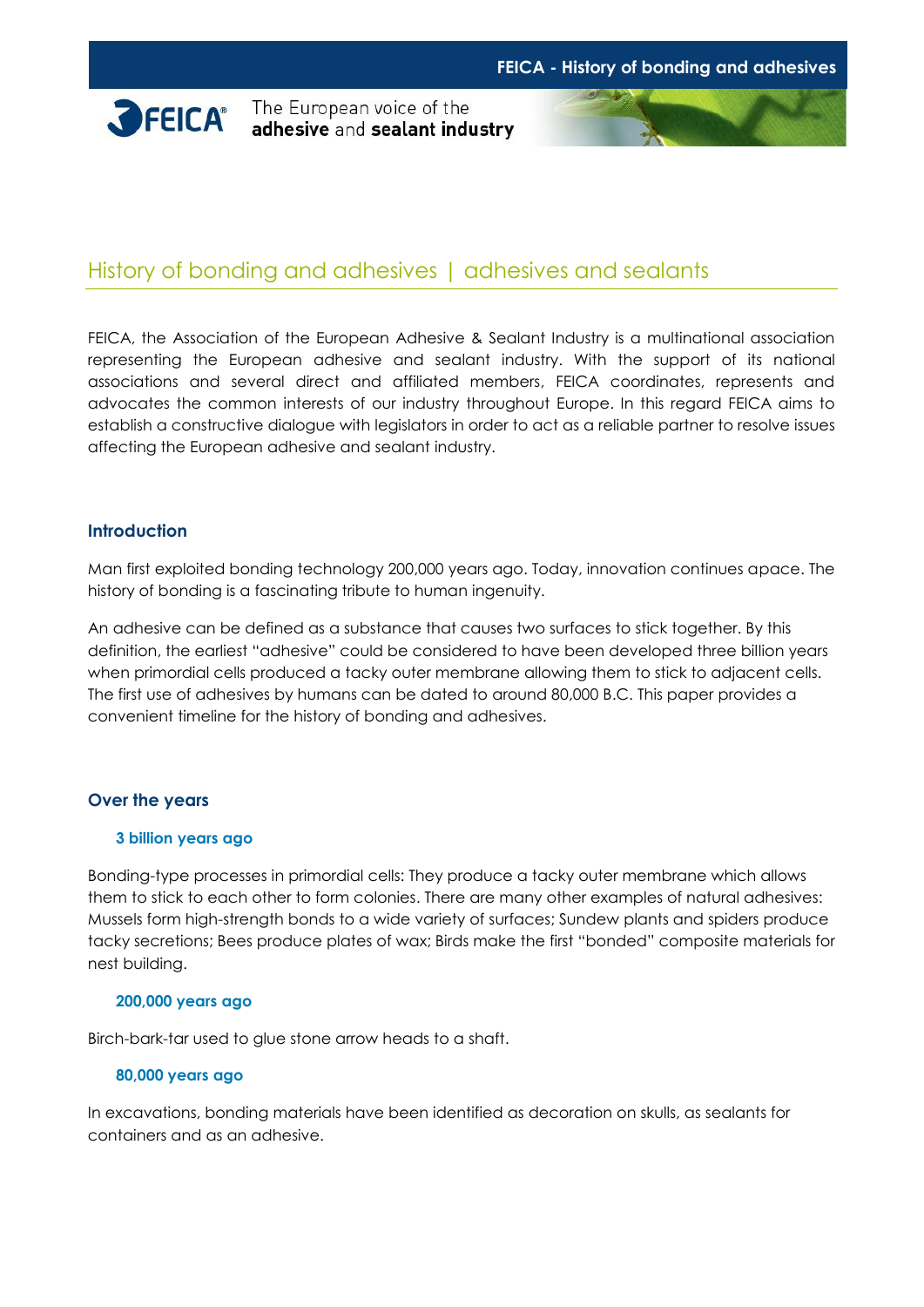

**SPEICA** The European voice of the adhesive and sealant industry



# History of bonding and adhesives | adhesives and sealants

FEICA, the Association of the European Adhesive & Sealant Industry is a multinational association representing the European adhesive and sealant industry. With the support of its national associations and several direct and affiliated members, FEICA coordinates, represents and advocates the common interests of our industry throughout Europe. In this regard FEICA aims to establish a constructive dialogue with legislators in order to act as a reliable partner to resolve issues affecting the European adhesive and sealant industry.

### **Introduction**

Man first exploited bonding technology 200,000 years ago. Today, innovation continues apace. The history of bonding is a fascinating tribute to human ingenuity.

An adhesive can be defined as a substance that causes two surfaces to stick together. By this definition, the earliest "adhesive" could be considered to have been developed three billion years when primordial cells produced a tacky outer membrane allowing them to stick to adjacent cells. The first use of adhesives by humans can be dated to around 80,000 B.C. This paper provides a convenient timeline for the history of bonding and adhesives.

# **Over the years**

### **3 billion years ago**

Bonding-type processes in primordial cells: They produce a tacky outer membrane which allows them to stick to each other to form colonies. There are many other examples of natural adhesives: Mussels form high-strength bonds to a wide variety of surfaces; Sundew plants and spiders produce tacky secretions; Bees produce plates of wax; Birds make the first "bonded" composite materials for nest building.

### **200,000 years ago**

Birch-bark-tar used to glue stone arrow heads to a shaft.

### **80,000 years ago**

In excavations, bonding materials have been identified as decoration on skulls, as sealants for containers and as an adhesive.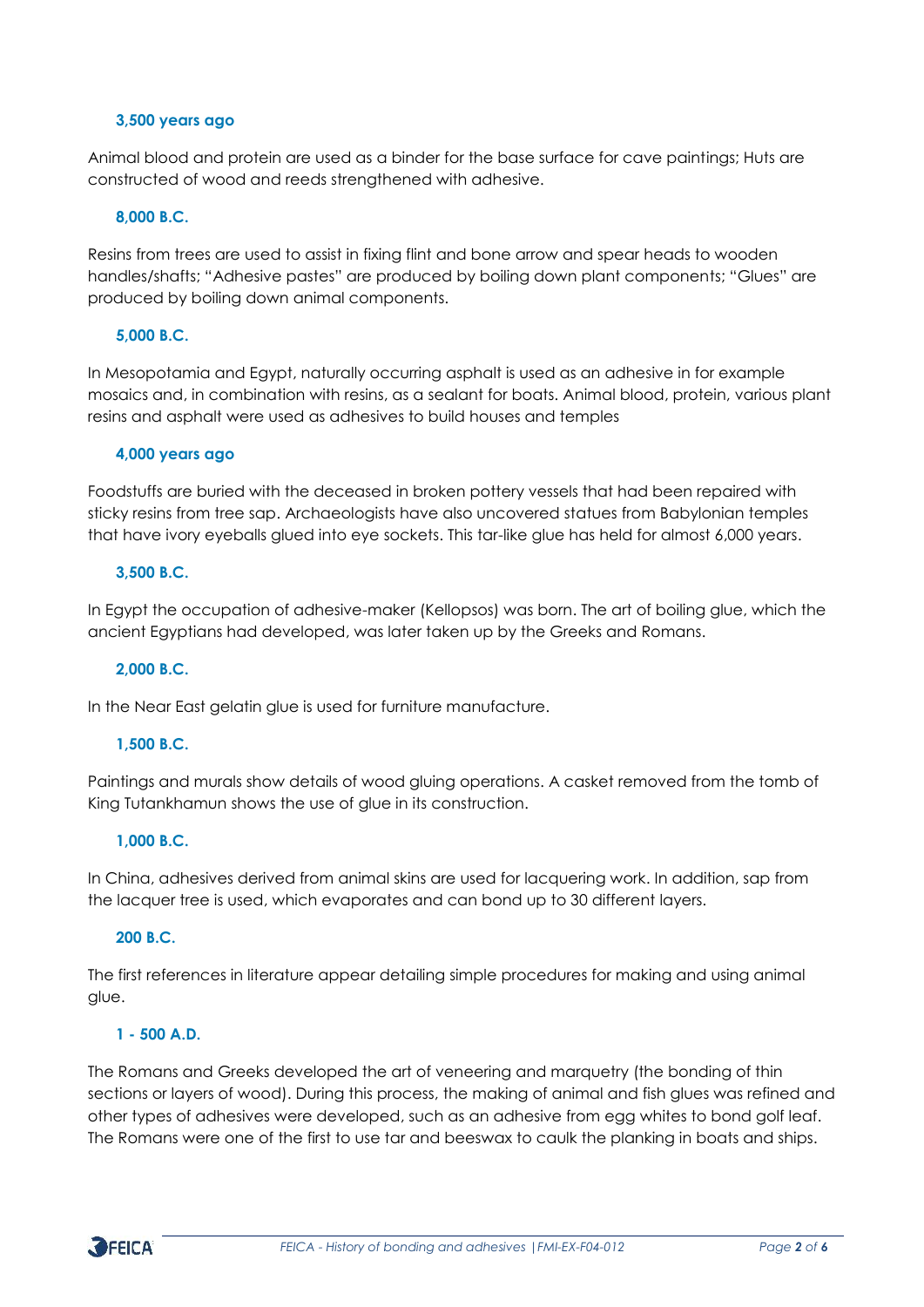### **3,500 years ago**

Animal blood and protein are used as a binder for the base surface for cave paintings; Huts are constructed of wood and reeds strengthened with adhesive.

# **8,000 B.C.**

Resins from trees are used to assist in fixing flint and bone arrow and spear heads to wooden handles/shafts; "Adhesive pastes" are produced by boiling down plant components; "Glues" are produced by boiling down animal components.

### **5,000 B.C.**

In Mesopotamia and Egypt, naturally occurring asphalt is used as an adhesive in for example mosaics and, in combination with resins, as a sealant for boats. Animal blood, protein, various plant resins and asphalt were used as adhesives to build houses and temples

### **4,000 years ago**

Foodstuffs are buried with the deceased in broken pottery vessels that had been repaired with sticky resins from tree sap. Archaeologists have also uncovered statues from Babylonian temples that have ivory eyeballs glued into eye sockets. This tar-like glue has held for almost 6,000 years.

# **3,500 B.C.**

In Egypt the occupation of adhesive-maker (Kellopsos) was born. The art of boiling glue, which the ancient Egyptians had developed, was later taken up by the Greeks and Romans.

### **2,000 B.C.**

In the Near East gelatin glue is used for furniture manufacture.

# **1,500 B.C.**

Paintings and murals show details of wood gluing operations. A casket removed from the tomb of King Tutankhamun shows the use of glue in its construction.

### **1,000 B.C.**

In China, adhesives derived from animal skins are used for lacquering work. In addition, sap from the lacquer tree is used, which evaporates and can bond up to 30 different layers.

### **200 B.C.**

The first references in literature appear detailing simple procedures for making and using animal glue.

### **1 - 500 A.D.**

The Romans and Greeks developed the art of veneering and marquetry (the bonding of thin sections or layers of wood). During this process, the making of animal and fish glues was refined and other types of adhesives were developed, such as an adhesive from egg whites to bond golf leaf. The Romans were one of the first to use tar and beeswax to caulk the planking in boats and ships.

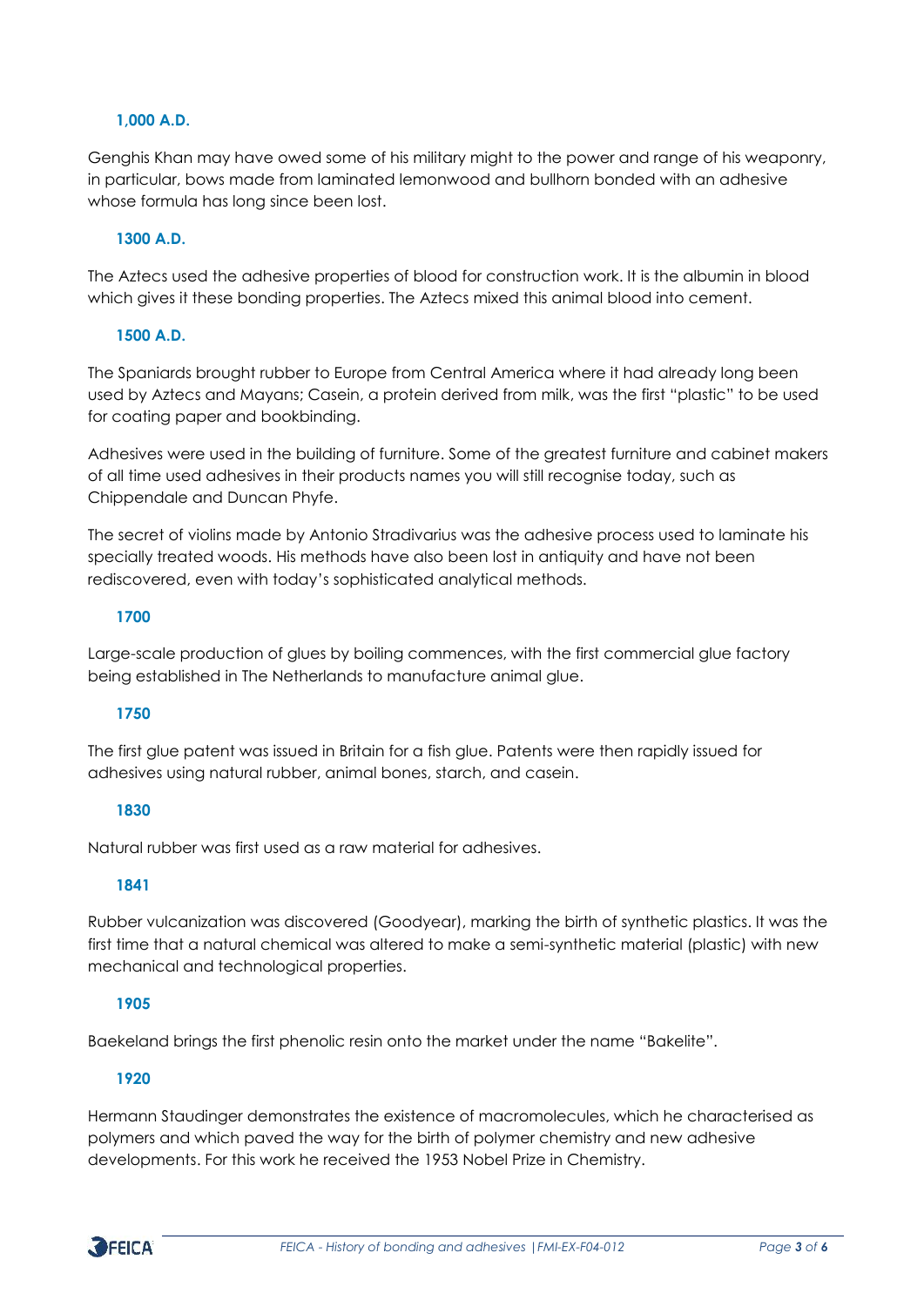# **1,000 A.D.**

Genghis Khan may have owed some of his military might to the power and range of his weaponry, in particular, bows made from laminated lemonwood and bullhorn bonded with an adhesive whose formula has long since been lost.

### **1300 A.D.**

The Aztecs used the adhesive properties of blood for construction work. It is the albumin in blood which gives it these bonding properties. The Aztecs mixed this animal blood into cement.

# **1500 A.D.**

The Spaniards brought rubber to Europe from Central America where it had already long been used by Aztecs and Mayans; Casein, a protein derived from milk, was the first "plastic" to be used for coating paper and bookbinding.

Adhesives were used in the building of furniture. Some of the greatest furniture and cabinet makers of all time used adhesives in their products names you will still recognise today, such as Chippendale and Duncan Phyfe.

The secret of violins made by Antonio Stradivarius was the adhesive process used to laminate his specially treated woods. His methods have also been lost in antiquity and have not been rediscovered, even with today's sophisticated analytical methods.

### **1700**

Large-scale production of glues by boiling commences, with the first commercial glue factory being established in The Netherlands to manufacture animal glue.

# **1750**

The first glue patent was issued in Britain for a fish glue. Patents were then rapidly issued for adhesives using natural rubber, animal bones, starch, and casein.

### **1830**

Natural rubber was first used as a raw material for adhesives.

# **1841**

Rubber vulcanization was discovered (Goodyear), marking the birth of synthetic plastics. It was the first time that a natural chemical was altered to make a semi-synthetic material (plastic) with new mechanical and technological properties.

# **1905**

Baekeland brings the first phenolic resin onto the market under the name "Bakelite".

# **1920**

Hermann Staudinger demonstrates the existence of macromolecules, which he characterised as polymers and which paved the way for the birth of polymer chemistry and new adhesive developments. For this work he received the 1953 Nobel Prize in Chemistry.

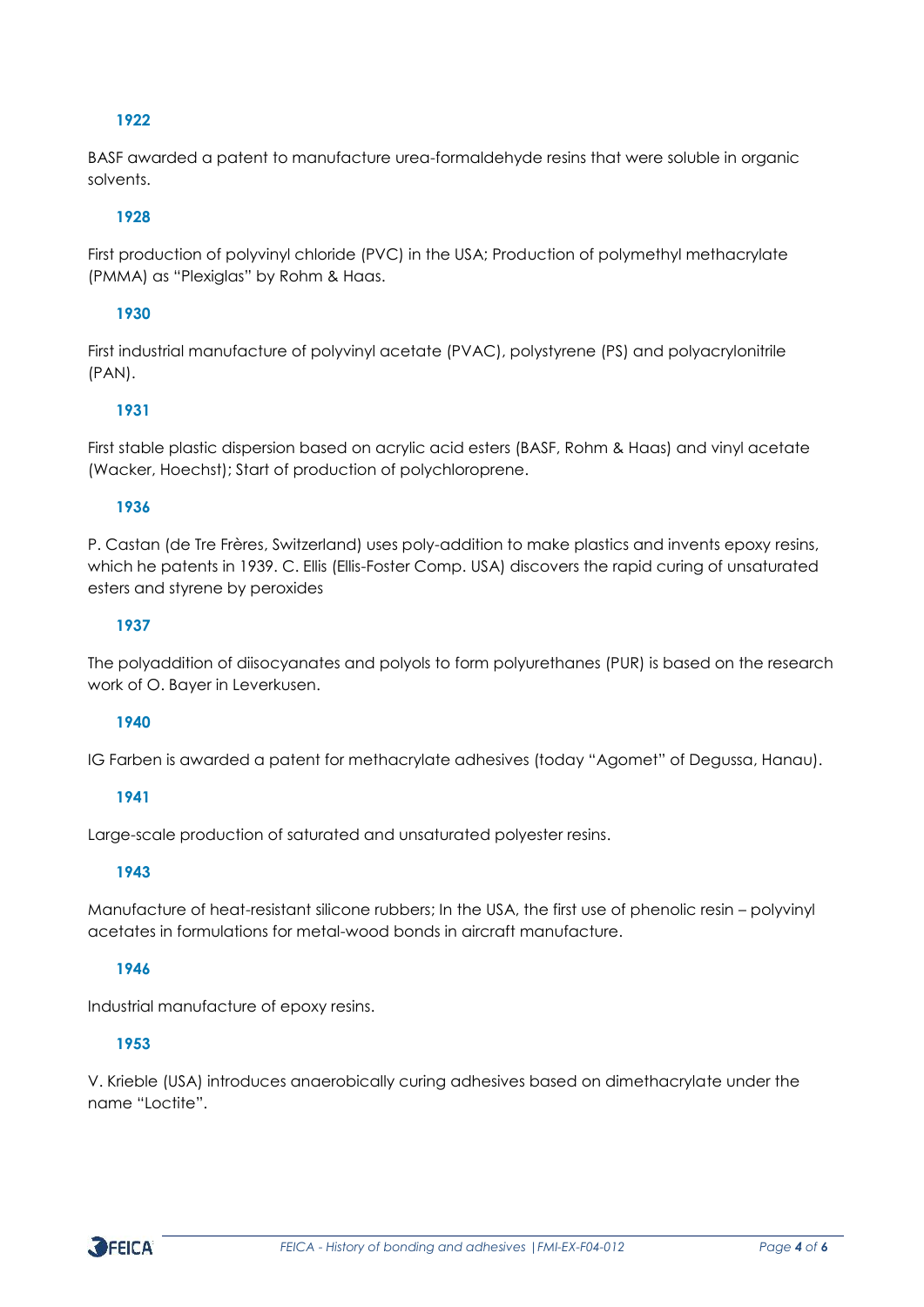# **1922**

BASF awarded a patent to manufacture urea-formaldehyde resins that were soluble in organic solvents.

# **1928**

First production of polyvinyl chloride (PVC) in the USA; Production of polymethyl methacrylate (PMMA) as "Plexiglas" by Rohm & Haas.

# **1930**

First industrial manufacture of polyvinyl acetate (PVAC), polystyrene (PS) and polyacrylonitrile (PAN).

# **1931**

First stable plastic dispersion based on acrylic acid esters (BASF, Rohm & Haas) and vinyl acetate (Wacker, Hoechst); Start of production of polychloroprene.

# **1936**

P. Castan (de Tre Frères, Switzerland) uses poly-addition to make plastics and invents epoxy resins, which he patents in 1939. C. Ellis (Ellis-Foster Comp. USA) discovers the rapid curing of unsaturated esters and styrene by peroxides

# **1937**

The polyaddition of diisocyanates and polyols to form polyurethanes (PUR) is based on the research work of O. Bayer in Leverkusen.

# **1940**

IG Farben is awarded a patent for methacrylate adhesives (today "Agomet" of Degussa, Hanau).

# **1941**

Large-scale production of saturated and unsaturated polyester resins.

# **1943**

Manufacture of heat-resistant silicone rubbers; In the USA, the first use of phenolic resin – polyvinyl acetates in formulations for metal-wood bonds in aircraft manufacture.

# **1946**

Industrial manufacture of epoxy resins.

# **1953**

V. Krieble (USA) introduces anaerobically curing adhesives based on dimethacrylate under the name "Loctite".

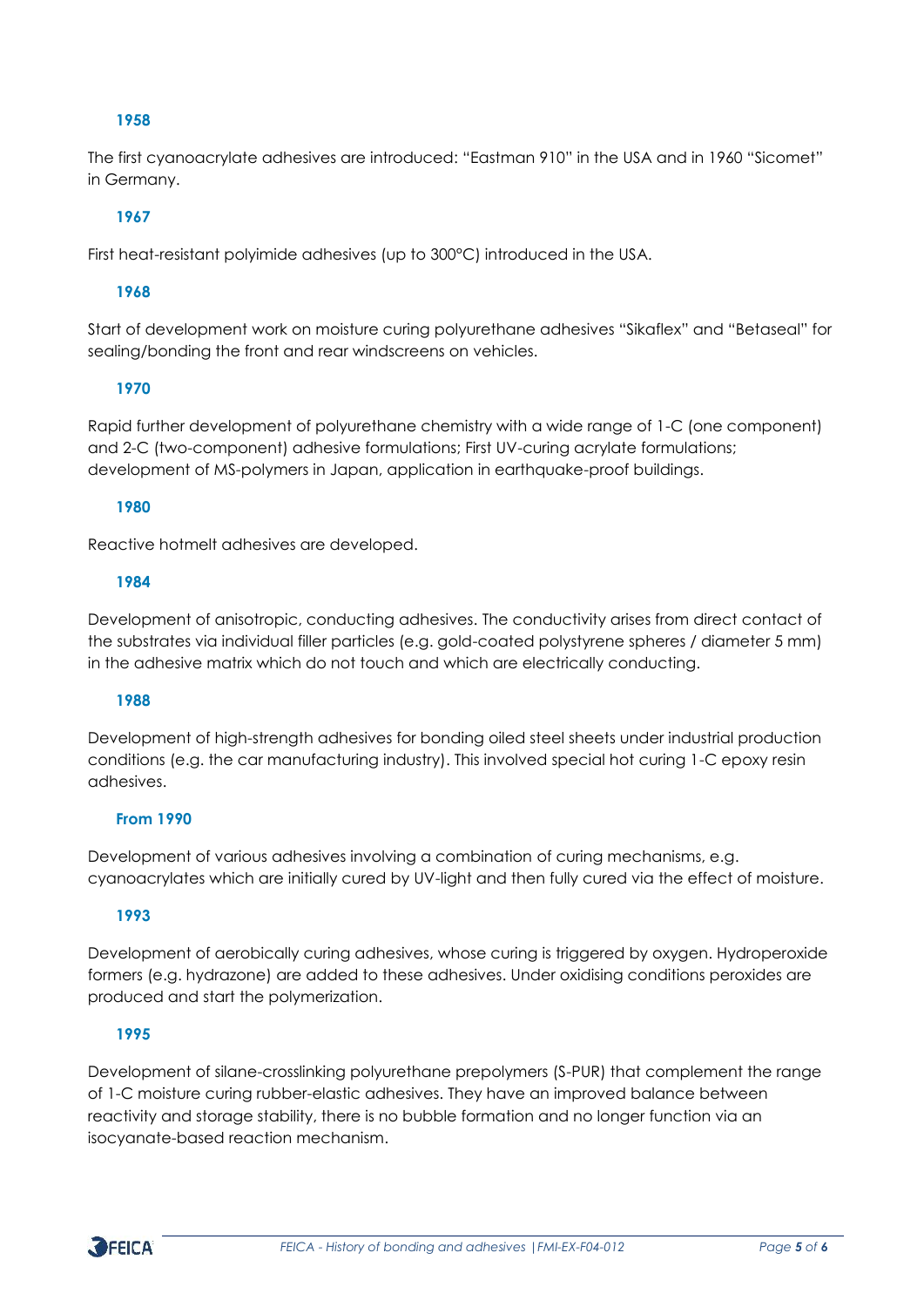# **1958**

The first cyanoacrylate adhesives are introduced: "Eastman 910" in the USA and in 1960 "Sicomet" in Germany.

# **1967**

First heat-resistant polyimide adhesives (up to 300°C) introduced in the USA.

# **1968**

Start of development work on moisture curing polyurethane adhesives "Sikaflex" and "Betaseal" for sealing/bonding the front and rear windscreens on vehicles.

# **1970**

Rapid further development of polyurethane chemistry with a wide range of 1-C (one component) and 2-C (two-component) adhesive formulations; First UV-curing acrylate formulations; development of MS-polymers in Japan, application in earthquake-proof buildings.

### **1980**

Reactive hotmelt adhesives are developed.

### **1984**

Development of anisotropic, conducting adhesives. The conductivity arises from direct contact of the substrates via individual filler particles (e.g. gold-coated polystyrene spheres / diameter 5 mm) in the adhesive matrix which do not touch and which are electrically conducting.

### **1988**

Development of high-strength adhesives for bonding oiled steel sheets under industrial production conditions (e.g. the car manufacturing industry). This involved special hot curing 1-C epoxy resin adhesives.

# **From 1990**

Development of various adhesives involving a combination of curing mechanisms, e.g. cyanoacrylates which are initially cured by UV-light and then fully cured via the effect of moisture.

# **1993**

Development of aerobically curing adhesives, whose curing is triggered by oxygen. Hydroperoxide formers (e.g. hydrazone) are added to these adhesives. Under oxidising conditions peroxides are produced and start the polymerization.

# **1995**

Development of silane-crosslinking polyurethane prepolymers (S-PUR) that complement the range of 1-C moisture curing rubber-elastic adhesives. They have an improved balance between reactivity and storage stability, there is no bubble formation and no longer function via an isocyanate-based reaction mechanism.